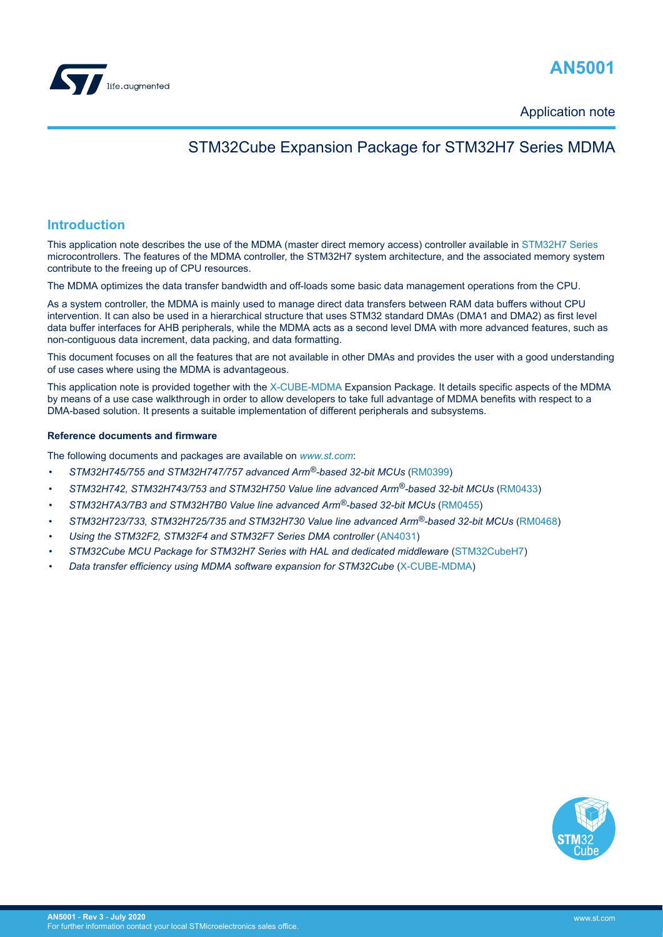

<span id="page-0-0"></span>

Application note

## STM32Cube Expansion Package for STM32H7 Series MDMA

#### **Introduction**

This application note describes the use of the MDMA (master direct memory access) controller available in [STM32H7 Series](https://www.st.com/en/microcontrollers-microprocessors/stm32h7-series.html) microcontrollers. The features of the MDMA controller, the STM32H7 system architecture, and the associated memory system contribute to the freeing up of CPU resources.

The MDMA optimizes the data transfer bandwidth and off-loads some basic data management operations from the CPU.

As a system controller, the MDMA is mainly used to manage direct data transfers between RAM data buffers without CPU intervention. It can also be used in a hierarchical structure that uses STM32 standard DMAs (DMA1 and DMA2) as first level data buffer interfaces for AHB peripherals, while the MDMA acts as a second level DMA with more advanced features, such as non-contiguous data increment, data packing, and data formatting.

This document focuses on all the features that are not available in other DMAs and provides the user with a good understanding of use cases where using the MDMA is advantageous.

This application note is provided together with the [X-CUBE-MDMA](https://www.st.com/en/product/x-cube-mdma?ecmp=tt9470_gl_link_feb2019&rt=an&id=AN5001) Expansion Package. It details specific aspects of the MDMA by means of a use case walkthrough in order to allow developers to take full advantage of MDMA benefits with respect to a DMA-based solution. It presents a suitable implementation of different peripherals and subsystems.

#### **Reference documents and firmware**

The following documents and packages are available on *[www.st.com](https://www.st.com)*:

- *STM32H745/755 and STM32H747/757 advanced Arm®-based 32-bit MCUs* [\(RM0399](https://www.st.com/resource/en/reference_manual/dm00176879.pdf))
- *STM32H742, STM32H743/753 and STM32H750 Value line advanced Arm®-based 32-bit MCUs* [\(RM0433](https://www.st.com/resource/en/reference_manual/dm00314099.pdf))
- *STM32H7A3/7B3 and STM32H7B0 Value line advanced Arm®-based 32-bit MCUs* ([RM0455\)](https://www.st.com/resource/en/reference_manual/dm00463927.pdf)
- *STM32H723/733, STM32H725/735 and STM32H730 Value line advanced Arm®-based 32-bit MCUs* ([RM0468\)](https://www.st.com/resource/en/reference_manual/dm00603761.pdf)
- *Using the STM32F2, STM32F4 and STM32F7 Series DMA controller* ([AN4031](https://www.st.com/resource/en/application_note/dm00046011.pdf))
- *STM32Cube MCU Package for STM32H7 Series with HAL and dedicated middleware* ([STM32CubeH7\)](https://www.st.com/en/product/stm32cubeh7?ecmp=tt9470_gl_link_feb2019&rt=an&id=AN5001)
- *Data transfer efficiency using MDMA software expansion for STM32Cube* ([X-CUBE-MDMA](https://www.st.com/en/product/x-cube-mdma?ecmp=tt9470_gl_link_feb2019&rt=an&id=AN5001))

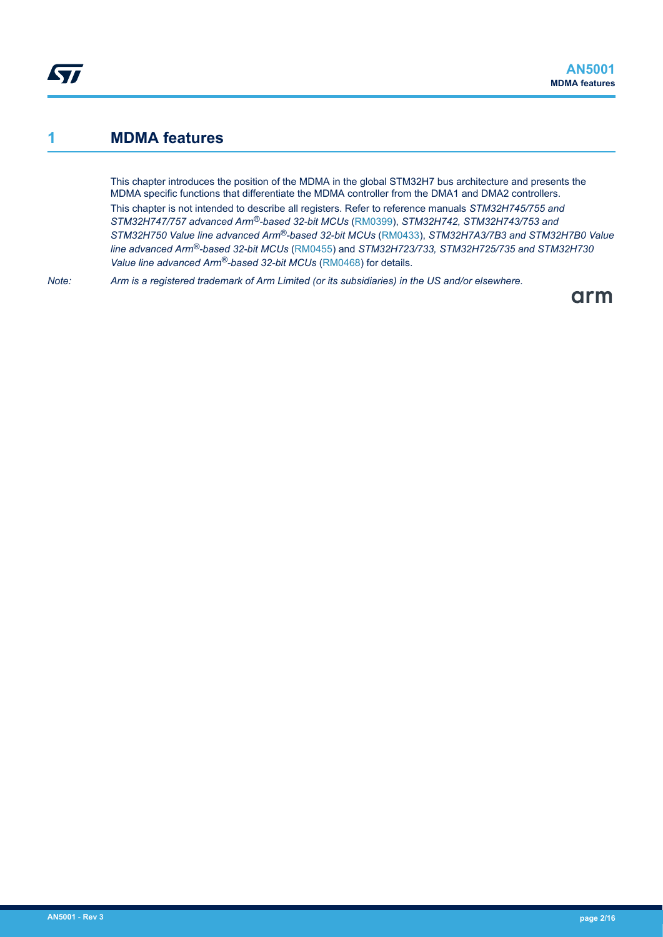## <span id="page-1-0"></span>**1 MDMA features**

This chapter introduces the position of the MDMA in the global STM32H7 bus architecture and presents the MDMA specific functions that differentiate the MDMA controller from the DMA1 and DMA2 controllers. This chapter is not intended to describe all registers. Refer to reference manuals *STM32H745/755 and STM32H747/757 advanced Arm®-based 32-bit MCUs* ([RM0399\)](https://www.st.com/resource/en/reference_manual/dm00176879.pdf), *STM32H742, STM32H743/753 and STM32H750 Value line advanced Arm®-based 32-bit MCUs* ([RM0433\)](https://www.st.com/resource/en/reference_manual/dm00314099.pdf), *STM32H7A3/7B3 and STM32H7B0 Value line advanced Arm®-based 32-bit MCUs* ([RM0455\)](https://www.st.com/resource/en/reference_manual/dm00463927.pdf) and *STM32H723/733, STM32H725/735 and STM32H730 Value line advanced Arm®-based 32-bit MCUs* ([RM0468\)](https://www.st.com/resource/en/reference_manual/dm00603761.pdf) for details.

*Note: Arm is a registered trademark of Arm Limited (or its subsidiaries) in the US and/or elsewhere.*

arm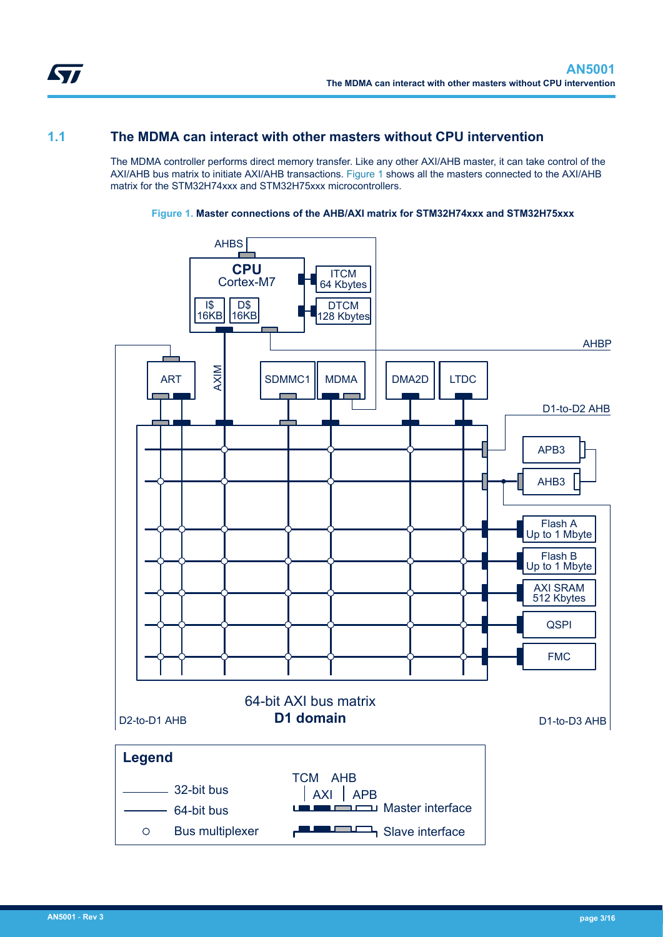<span id="page-2-0"></span>

## **1.1 The MDMA can interact with other masters without CPU intervention**

The MDMA controller performs direct memory transfer. Like any other AXI/AHB master, it can take control of the AXI/AHB bus matrix to initiate AXI/AHB transactions. Figure 1 shows all the masters connected to the AXI/AHB matrix for the STM32H74xxx and STM32H75xxx microcontrollers.



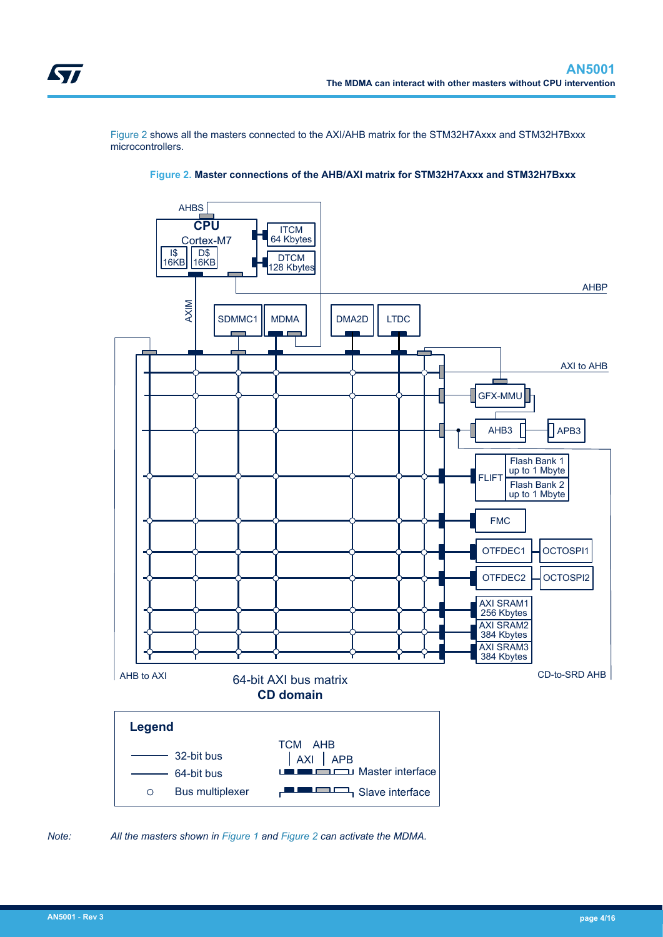<span id="page-3-0"></span>Figure 2 shows all the masters connected to the AXI/AHB matrix for the STM32H7Axxx and STM32H7Bxxx microcontrollers.





*Note: All the masters shown in [Figure 1](#page-2-0) and Figure 2 can activate the MDMA.*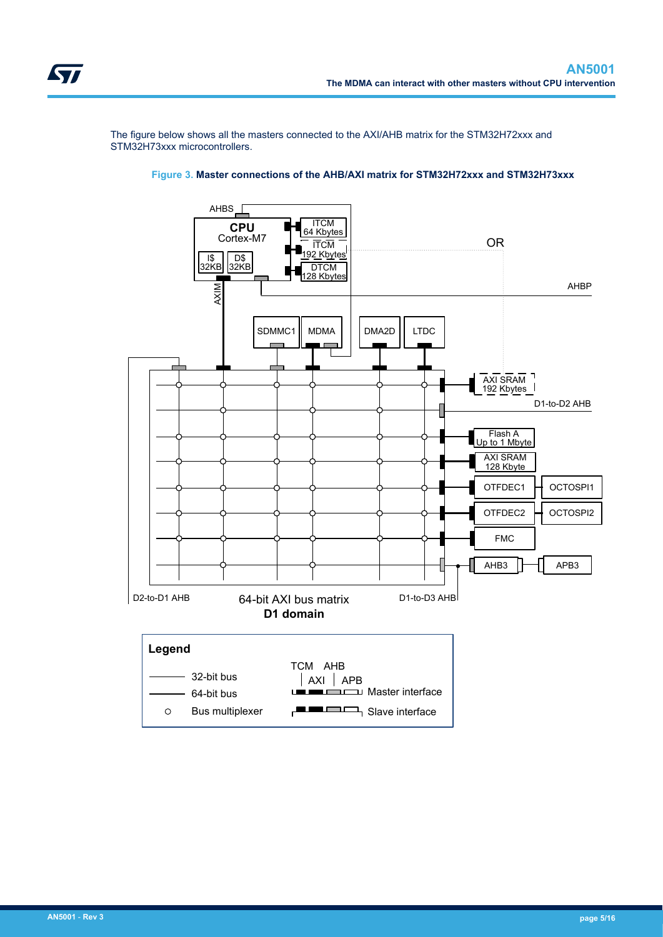<span id="page-4-0"></span>The figure below shows all the masters connected to the AXI/AHB matrix for the STM32H72xxx and STM32H73xxx microcontrollers.



#### **Figure 3. Master connections of the AHB/AXI matrix for STM32H72xxx and STM32H73xxx**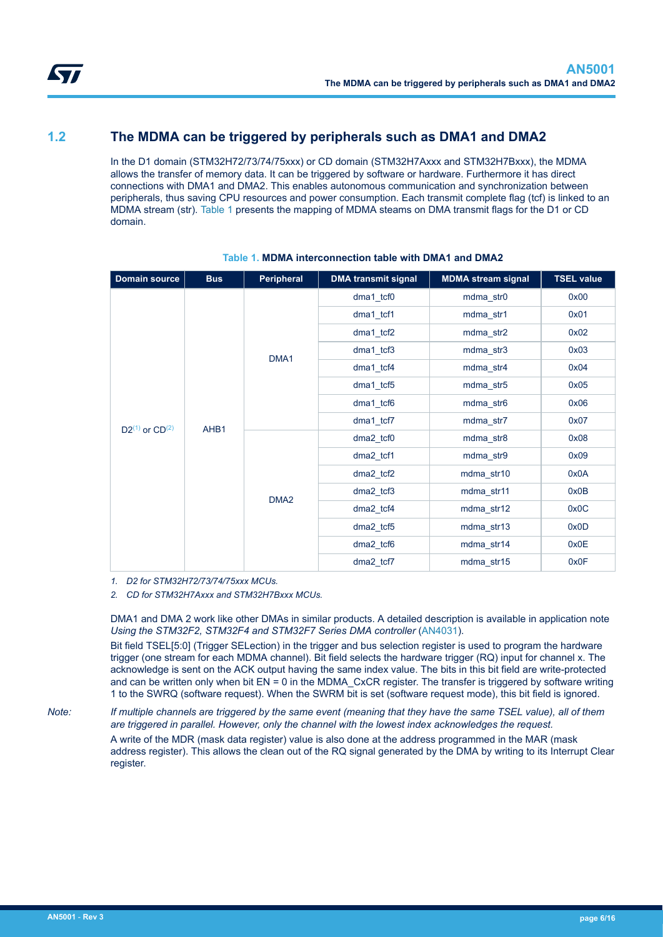## <span id="page-5-0"></span>**1.2 The MDMA can be triggered by peripherals such as DMA1 and DMA2**

In the D1 domain (STM32H72/73/74/75xxx) or CD domain (STM32H7Axxx and STM32H7Bxxx), the MDMA allows the transfer of memory data. It can be triggered by software or hardware. Furthermore it has direct connections with DMA1 and DMA2. This enables autonomous communication and synchronization between peripherals, thus saving CPU resources and power consumption. Each transmit complete flag (tcf) is linked to an MDMA stream (str). Table 1 presents the mapping of MDMA steams on DMA transmit flags for the D1 or CD domain.

| <b>Domain source</b>     | <b>Bus</b> | Peripheral       | <b>DMA transmit signal</b> | <b>MDMA</b> stream signal | <b>TSEL value</b> |
|--------------------------|------------|------------------|----------------------------|---------------------------|-------------------|
| $D2^{(1)}$ or $CD^{(2)}$ | AHB1       | DMA1             | $dma1_t$ cf0               | mdma_str0                 | 0x00              |
|                          |            |                  | $dma1_tcf1$                | mdma_str1                 | 0x01              |
|                          |            |                  | $dma1_tcf2$                | mdma_str2                 | 0x02              |
|                          |            |                  | $dma1_tcf3$                | mdma_str3                 | 0x03              |
|                          |            |                  | dma1 tcf4                  | mdma_str4                 | 0x04              |
|                          |            |                  | $dma1_tcf5$                | mdma_str5                 | 0x05              |
|                          |            |                  | $dma1_tcf6$                | mdma_str6                 | 0x06              |
|                          |            |                  | dma1_tcf7                  | mdma_str7                 | 0x07              |
|                          |            | DMA <sub>2</sub> | dma2_tcf0                  | mdma_str8                 | 0x08              |
|                          |            |                  | dma2_tcf1                  | mdma_str9                 | 0x09              |
|                          |            |                  | $dma2_tcf2$                | mdma_str10                | 0x0A              |
|                          |            |                  | dma2_tcf3                  | mdma_str11                | 0x0B              |
|                          |            |                  | dma2_tcf4                  | mdma_str12                | 0x0C              |
|                          |            |                  | dma2_tcf5                  | mdma_str13                | 0x0D              |
|                          |            |                  | dma2_tcf6                  | mdma_str14                | 0x0E              |
|                          |            |                  | dma2_tcf7                  | mdma_str15                | 0x0F              |

#### **Table 1. MDMA interconnection table with DMA1 and DMA2**

*1. D2 for STM32H72/73/74/75xxx MCUs.*

*2. CD for STM32H7Axxx and STM32H7Bxxx MCUs.*

DMA1 and DMA 2 work like other DMAs in similar products. A detailed description is available in application note *Using the STM32F2, STM32F4 and STM32F7 Series DMA controller* ([AN4031](https://www.st.com/resource/en/application_note/dm00046011.pdf)).

Bit field TSEL[5:0] (Trigger SELection) in the trigger and bus selection register is used to program the hardware trigger (one stream for each MDMA channel). Bit field selects the hardware trigger (RQ) input for channel x. The acknowledge is sent on the ACK output having the same index value. The bits in this bit field are write-protected and can be written only when bit EN = 0 in the MDMA\_CxCR register. The transfer is triggered by software writing 1 to the SWRQ (software request). When the SWRM bit is set (software request mode), this bit field is ignored.

*Note: If multiple channels are triggered by the same event (meaning that they have the same TSEL value), all of them are triggered in parallel. However, only the channel with the lowest index acknowledges the request.*

A write of the MDR (mask data register) value is also done at the address programmed in the MAR (mask address register). This allows the clean out of the RQ signal generated by the DMA by writing to its Interrupt Clear register.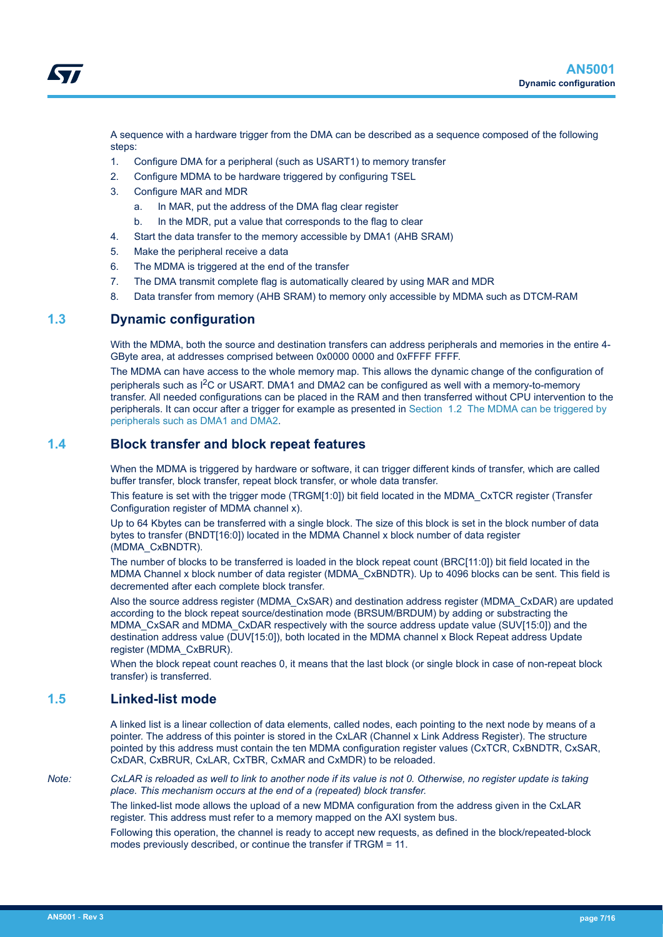<span id="page-6-0"></span>

A sequence with a hardware trigger from the DMA can be described as a sequence composed of the following steps:

- 1. Configure DMA for a peripheral (such as USART1) to memory transfer
- 2. Configure MDMA to be hardware triggered by configuring TSEL
- 3. Configure MAR and MDR
	- a. In MAR, put the address of the DMA flag clear register
	- b. In the MDR, put a value that corresponds to the flag to clear
- 4. Start the data transfer to the memory accessible by DMA1 (AHB SRAM)
- 5. Make the peripheral receive a data
- 6. The MDMA is triggered at the end of the transfer
- 7. The DMA transmit complete flag is automatically cleared by using MAR and MDR
- 8. Data transfer from memory (AHB SRAM) to memory only accessible by MDMA such as DTCM-RAM

### **1.3 Dynamic configuration**

With the MDMA, both the source and destination transfers can address peripherals and memories in the entire 4- GByte area, at addresses comprised between 0x0000 0000 and 0xFFFF FFFF.

The MDMA can have access to the whole memory map. This allows the dynamic change of the configuration of peripherals such as I2C or USART. DMA1 and DMA2 can be configured as well with a memory-to-memory transfer. All needed configurations can be placed in the RAM and then transferred without CPU intervention to the peripherals. It can occur after a trigger for example as presented in [Section 1.2 The MDMA can be triggered by](#page-5-0) [peripherals such as DMA1 and DMA2.](#page-5-0)

### **1.4 Block transfer and block repeat features**

When the MDMA is triggered by hardware or software, it can trigger different kinds of transfer, which are called buffer transfer, block transfer, repeat block transfer, or whole data transfer.

This feature is set with the trigger mode (TRGM[1:0]) bit field located in the MDMA\_CxTCR register (Transfer Configuration register of MDMA channel x).

Up to 64 Kbytes can be transferred with a single block. The size of this block is set in the block number of data bytes to transfer (BNDT[16:0]) located in the MDMA Channel x block number of data register (MDMA\_CxBNDTR).

The number of blocks to be transferred is loaded in the block repeat count (BRC[11:0]) bit field located in the MDMA Channel x block number of data register (MDMA\_CxBNDTR). Up to 4096 blocks can be sent. This field is decremented after each complete block transfer.

Also the source address register (MDMA\_CxSAR) and destination address register (MDMA\_CxDAR) are updated according to the block repeat source/destination mode (BRSUM/BRDUM) by adding or substracting the MDMA\_CxSAR and MDMA\_CxDAR respectively with the source address update value (SUV[15:0]) and the destination address value (DUV[15:0]), both located in the MDMA channel x Block Repeat address Update register (MDMA\_CxBRUR).

When the block repeat count reaches 0, it means that the last block (or single block in case of non-repeat block transfer) is transferred.

#### **1.5 Linked-list mode**

A linked list is a linear collection of data elements, called nodes, each pointing to the next node by means of a pointer. The address of this pointer is stored in the CxLAR (Channel x Link Address Register). The structure pointed by this address must contain the ten MDMA configuration register values (CxTCR, CxBNDTR, CxSAR, CxDAR, CxBRUR, CxLAR, CxTBR, CxMAR and CxMDR) to be reloaded.

*Note: CxLAR is reloaded as well to link to another node if its value is not 0. Otherwise, no register update is taking place. This mechanism occurs at the end of a (repeated) block transfer.*

> The linked-list mode allows the upload of a new MDMA configuration from the address given in the CxLAR register. This address must refer to a memory mapped on the AXI system bus.

Following this operation, the channel is ready to accept new requests, as defined in the block/repeated-block modes previously described, or continue the transfer if TRGM = 11.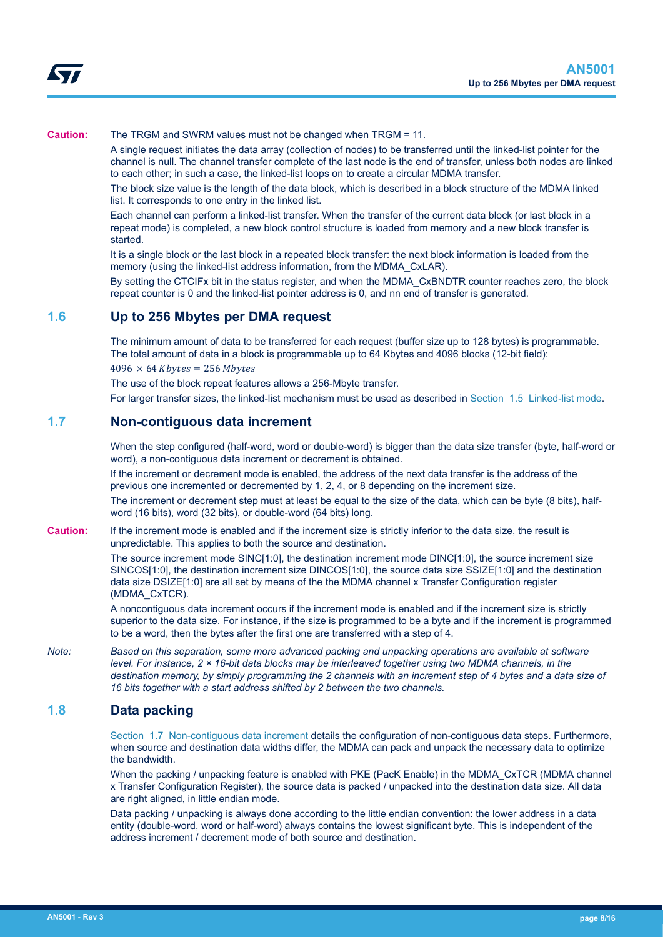<span id="page-7-0"></span>

#### **Caution:** The TRGM and SWRM values must not be changed when TRGM = 11.

A single request initiates the data array (collection of nodes) to be transferred until the linked-list pointer for the channel is null. The channel transfer complete of the last node is the end of transfer, unless both nodes are linked to each other; in such a case, the linked-list loops on to create a circular MDMA transfer.

The block size value is the length of the data block, which is described in a block structure of the MDMA linked list. It corresponds to one entry in the linked list.

Each channel can perform a linked-list transfer. When the transfer of the current data block (or last block in a repeat mode) is completed, a new block control structure is loaded from memory and a new block transfer is started.

It is a single block or the last block in a repeated block transfer: the next block information is loaded from the memory (using the linked-list address information, from the MDMA\_CxLAR).

By setting the CTCIFx bit in the status register, and when the MDMA\_CxBNDTR counter reaches zero, the block repeat counter is 0 and the linked-list pointer address is 0, and nn end of transfer is generated.

#### **1.6 Up to 256 Mbytes per DMA request**

The minimum amount of data to be transferred for each request (buffer size up to 128 bytes) is programmable. The total amount of data in a block is programmable up to 64 Kbytes and 4096 blocks (12-bit field):

 $4096 \times 64$  Kbytes = 256 Mbytes

The use of the block repeat features allows a 256-Mbyte transfer.

For larger transfer sizes, the linked-list mechanism must be used as described in [Section 1.5 Linked-list mode](#page-6-0).

#### **1.7 Non-contiguous data increment**

When the step configured (half-word, word or double-word) is bigger than the data size transfer (byte, half-word or word), a non-contiguous data increment or decrement is obtained.

If the increment or decrement mode is enabled, the address of the next data transfer is the address of the previous one incremented or decremented by 1, 2, 4, or 8 depending on the increment size.

The increment or decrement step must at least be equal to the size of the data, which can be byte (8 bits), halfword (16 bits), word (32 bits), or double-word (64 bits) long.

**Caution:** If the increment mode is enabled and if the increment size is strictly inferior to the data size, the result is unpredictable. This applies to both the source and destination.

> The source increment mode SINC[1:0], the destination increment mode DINC[1:0], the source increment size SINCOS[1:0], the destination increment size DINCOS[1:0], the source data size SSIZE[1:0] and the destination data size DSIZE[1:0] are all set by means of the the MDMA channel x Transfer Configuration register (MDMA\_CxTCR).

A noncontiguous data increment occurs if the increment mode is enabled and if the increment size is strictly superior to the data size. For instance, if the size is programmed to be a byte and if the increment is programmed to be a word, then the bytes after the first one are transferred with a step of 4.

*Note: Based on this separation, some more advanced packing and unpacking operations are available at software level. For instance, 2 × 16-bit data blocks may be interleaved together using two MDMA channels, in the destination memory, by simply programming the 2 channels with an increment step of 4 bytes and a data size of 16 bits together with a start address shifted by 2 between the two channels.*

#### **1.8 Data packing**

Section 1.7 Non-contiguous data increment details the configuration of non-contiguous data steps. Furthermore, when source and destination data widths differ, the MDMA can pack and unpack the necessary data to optimize the bandwidth.

When the packing / unpacking feature is enabled with PKE (PacK Enable) in the MDMA\_CxTCR (MDMA channel x Transfer Configuration Register), the source data is packed / unpacked into the destination data size. All data are right aligned, in little endian mode.

Data packing / unpacking is always done according to the little endian convention: the lower address in a data entity (double-word, word or half-word) always contains the lowest significant byte. This is independent of the address increment / decrement mode of both source and destination.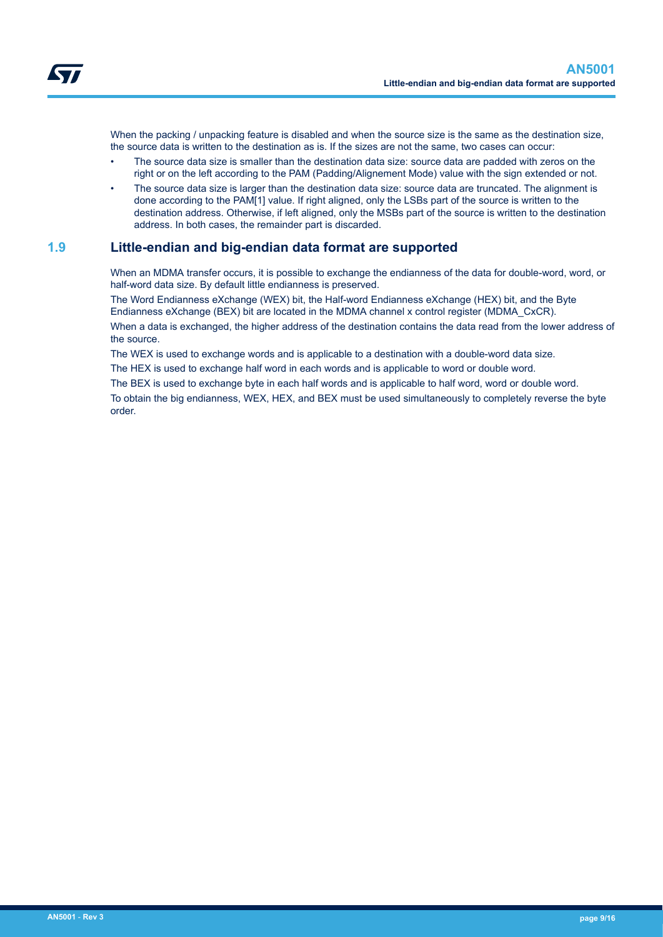<span id="page-8-0"></span>

When the packing / unpacking feature is disabled and when the source size is the same as the destination size, the source data is written to the destination as is. If the sizes are not the same, two cases can occur:

- The source data size is smaller than the destination data size: source data are padded with zeros on the right or on the left according to the PAM (Padding/Alignement Mode) value with the sign extended or not.
- The source data size is larger than the destination data size: source data are truncated. The alignment is done according to the PAM[1] value. If right aligned, only the LSBs part of the source is written to the destination address. Otherwise, if left aligned, only the MSBs part of the source is written to the destination address. In both cases, the remainder part is discarded.

### **1.9 Little-endian and big-endian data format are supported**

When an MDMA transfer occurs, it is possible to exchange the endianness of the data for double-word, word, or half-word data size. By default little endianness is preserved.

The Word Endianness eXchange (WEX) bit, the Half-word Endianness eXchange (HEX) bit, and the Byte Endianness eXchange (BEX) bit are located in the MDMA channel x control register (MDMA\_CxCR). When a data is exchanged, the higher address of the destination contains the data read from the lower address of the source.

The WEX is used to exchange words and is applicable to a destination with a double-word data size.

The HEX is used to exchange half word in each words and is applicable to word or double word.

The BEX is used to exchange byte in each half words and is applicable to half word, word or double word.

To obtain the big endianness, WEX, HEX, and BEX must be used simultaneously to completely reverse the byte order.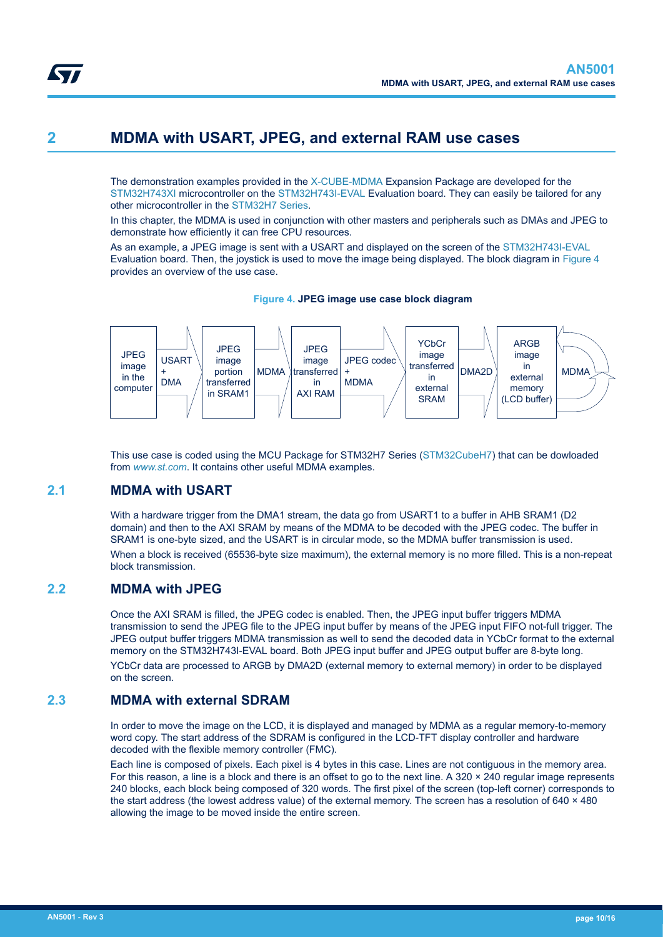## <span id="page-9-0"></span>**2 MDMA with USART, JPEG, and external RAM use cases**

The demonstration examples provided in the [X-CUBE-MDMA](https://www.st.com/en/product/x-cube-mdma?ecmp=tt9470_gl_link_feb2019&rt=an&id=AN5001) Expansion Package are developed for the [STM32H743XI](https://www.st.com/en/product/stm32h743xi?ecmp=tt9470_gl_link_feb2019&rt=an&id=AN5001) microcontroller on the [STM32H743I-EVAL](https://www.st.com/en/product/stm32h743i-eval?ecmp=tt9470_gl_link_feb2019&rt=an&id=AN5001) Evaluation board. They can easily be tailored for any other microcontroller in the [STM32H7 Series.](https://www.st.com/en/microcontrollers-microprocessors/stm32h7-series.html)

In this chapter, the MDMA is used in conjunction with other masters and peripherals such as DMAs and JPEG to demonstrate how efficiently it can free CPU resources.

As an example, a JPEG image is sent with a USART and displayed on the screen of the [STM32H743I-EVAL](https://www.st.com/en/product/stm32h743i-eval?ecmp=tt9470_gl_link_feb2019&rt=an&id=AN5001) Evaluation board. Then, the joystick is used to move the image being displayed. The block diagram in Figure 4 provides an overview of the use case.





This use case is coded using the MCU Package for STM32H7 Series ([STM32CubeH7\)](https://www.st.com/en/product/stm32cubeh7?ecmp=tt9470_gl_link_feb2019&rt=an&id=AN5001) that can be dowloaded from *[www.st.com](https://www.st.com)*. It contains other useful MDMA examples.

## **2.1 MDMA with USART**

With a hardware trigger from the DMA1 stream, the data go from USART1 to a buffer in AHB SRAM1 (D2) domain) and then to the AXI SRAM by means of the MDMA to be decoded with the JPEG codec. The buffer in SRAM1 is one-byte sized, and the USART is in circular mode, so the MDMA buffer transmission is used.

When a block is received (65536-byte size maximum), the external memory is no more filled. This is a non-repeat block transmission.

## **2.2 MDMA with JPEG**

Once the AXI SRAM is filled, the JPEG codec is enabled. Then, the JPEG input buffer triggers MDMA transmission to send the JPEG file to the JPEG input buffer by means of the JPEG input FIFO not-full trigger. The JPEG output buffer triggers MDMA transmission as well to send the decoded data in YCbCr format to the external memory on the STM32H743I-EVAL board. Both JPEG input buffer and JPEG output buffer are 8-byte long. YCbCr data are processed to ARGB by DMA2D (external memory to external memory) in order to be displayed on the screen.

## **2.3 MDMA with external SDRAM**

In order to move the image on the LCD, it is displayed and managed by MDMA as a regular memory-to-memory word copy. The start address of the SDRAM is configured in the LCD-TFT display controller and hardware decoded with the flexible memory controller (FMC).

Each line is composed of pixels. Each pixel is 4 bytes in this case. Lines are not contiguous in the memory area. For this reason, a line is a block and there is an offset to go to the next line. A 320  $\times$  240 regular image represents 240 blocks, each block being composed of 320 words. The first pixel of the screen (top-left corner) corresponds to the start address (the lowest address value) of the external memory. The screen has a resolution of 640 × 480 allowing the image to be moved inside the entire screen.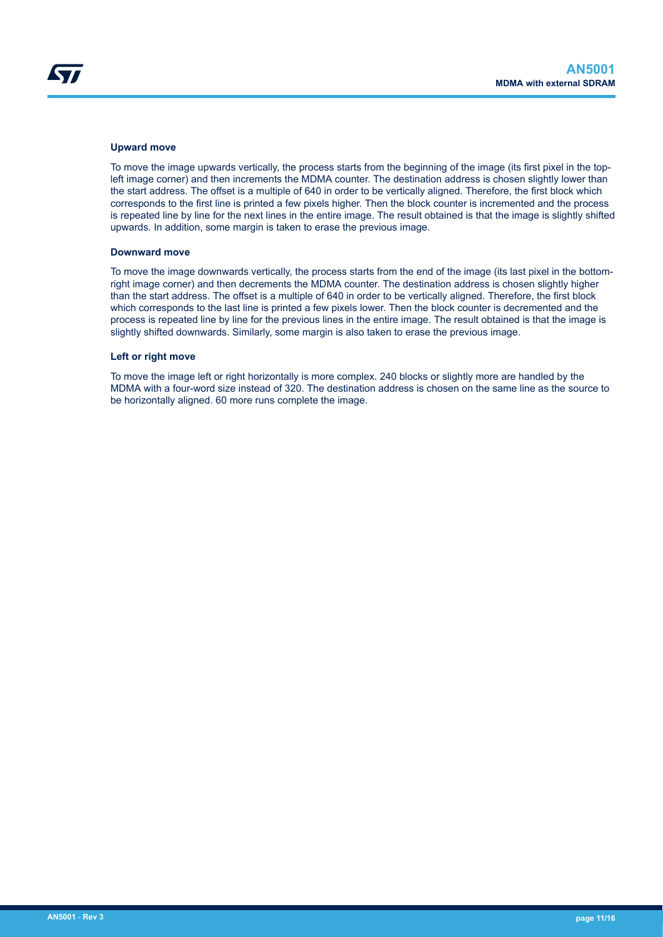#### **Upward move**

To move the image upwards vertically, the process starts from the beginning of the image (its first pixel in the topleft image corner) and then increments the MDMA counter. The destination address is chosen slightly lower than the start address. The offset is a multiple of 640 in order to be vertically aligned. Therefore, the first block which corresponds to the first line is printed a few pixels higher. Then the block counter is incremented and the process is repeated line by line for the next lines in the entire image. The result obtained is that the image is slightly shifted upwards. In addition, some margin is taken to erase the previous image.

#### **Downward move**

To move the image downwards vertically, the process starts from the end of the image (its last pixel in the bottomright image corner) and then decrements the MDMA counter. The destination address is chosen slightly higher than the start address. The offset is a multiple of 640 in order to be vertically aligned. Therefore, the first block which corresponds to the last line is printed a few pixels lower. Then the block counter is decremented and the process is repeated line by line for the previous lines in the entire image. The result obtained is that the image is slightly shifted downwards. Similarly, some margin is also taken to erase the previous image.

#### **Left or right move**

To move the image left or right horizontally is more complex. 240 blocks or slightly more are handled by the MDMA with a four-word size instead of 320. The destination address is chosen on the same line as the source to be horizontally aligned. 60 more runs complete the image.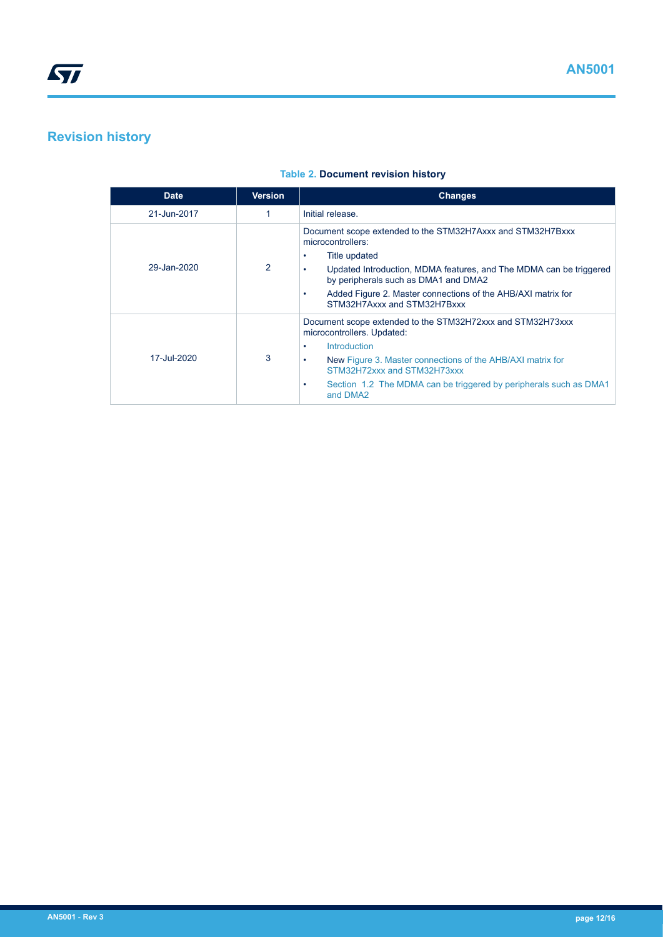## <span id="page-11-0"></span>**Revision history**

#### **Table 2. Document revision history**

| <b>Date</b> | <b>Version</b> | <b>Changes</b>                                                                                                                                                                                                                                                                                                |
|-------------|----------------|---------------------------------------------------------------------------------------------------------------------------------------------------------------------------------------------------------------------------------------------------------------------------------------------------------------|
| 21-Jun-2017 |                | Initial release.                                                                                                                                                                                                                                                                                              |
| 29-Jan-2020 | 2              | Document scope extended to the STM32H7Axxx and STM32H7Bxxx<br>microcontrollers:<br>Title updated<br>Updated Introduction, MDMA features, and The MDMA can be triggered<br>by peripherals such as DMA1 and DMA2<br>Added Figure 2. Master connections of the AHB/AXI matrix for<br>STM32H7Axxx and STM32H7Bxxx |
| 17-Jul-2020 | 3              | Document scope extended to the STM32H72xxx and STM32H73xxx<br>microcontrollers. Updated:<br>Introduction<br>New Figure 3. Master connections of the AHB/AXI matrix for<br>٠<br>STM32H72xxx and STM32H73xxx<br>Section 1.2 The MDMA can be triggered by peripherals such as DMA1<br>٠<br>and DMA2              |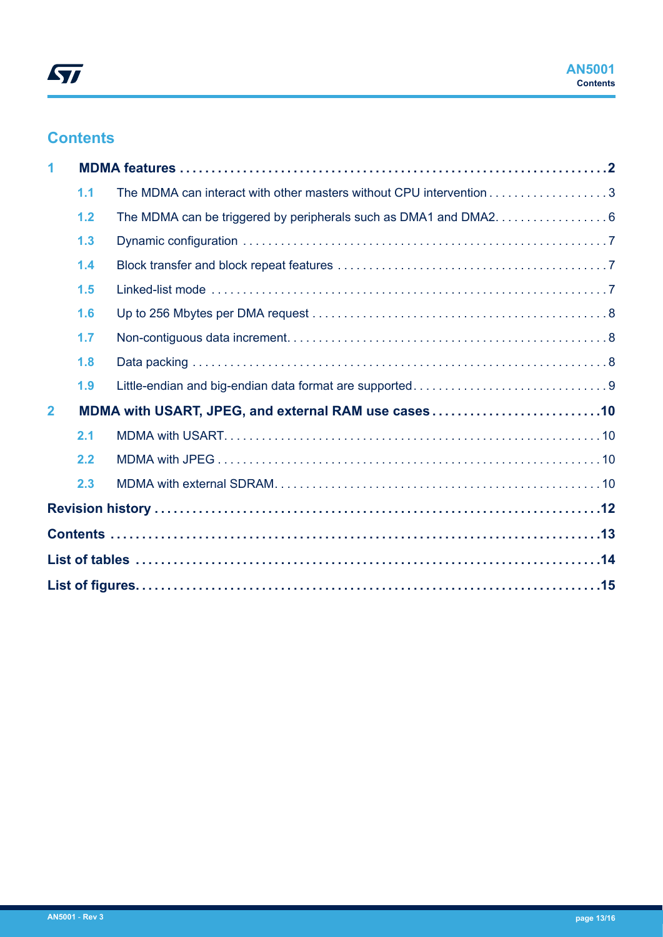## **Contents**

| 1            |     |                                                                     |  |
|--------------|-----|---------------------------------------------------------------------|--|
|              | 1.1 | The MDMA can interact with other masters without CPU intervention 3 |  |
|              | 1.2 |                                                                     |  |
|              | 1.3 |                                                                     |  |
|              | 1.4 |                                                                     |  |
|              | 1.5 |                                                                     |  |
|              | 1.6 |                                                                     |  |
|              | 1.7 |                                                                     |  |
|              | 1.8 |                                                                     |  |
|              | 1.9 |                                                                     |  |
| $\mathbf{2}$ |     |                                                                     |  |
|              | 2.1 |                                                                     |  |
|              | 2.2 |                                                                     |  |
|              | 2.3 |                                                                     |  |
|              |     |                                                                     |  |
|              |     |                                                                     |  |
|              |     |                                                                     |  |
|              |     |                                                                     |  |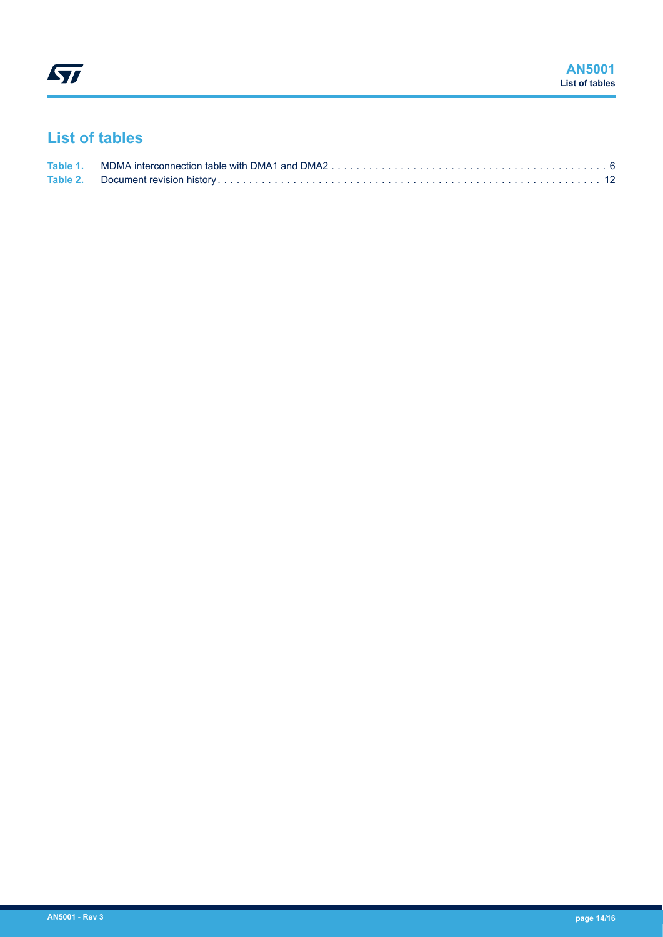## <span id="page-13-0"></span>**List of tables**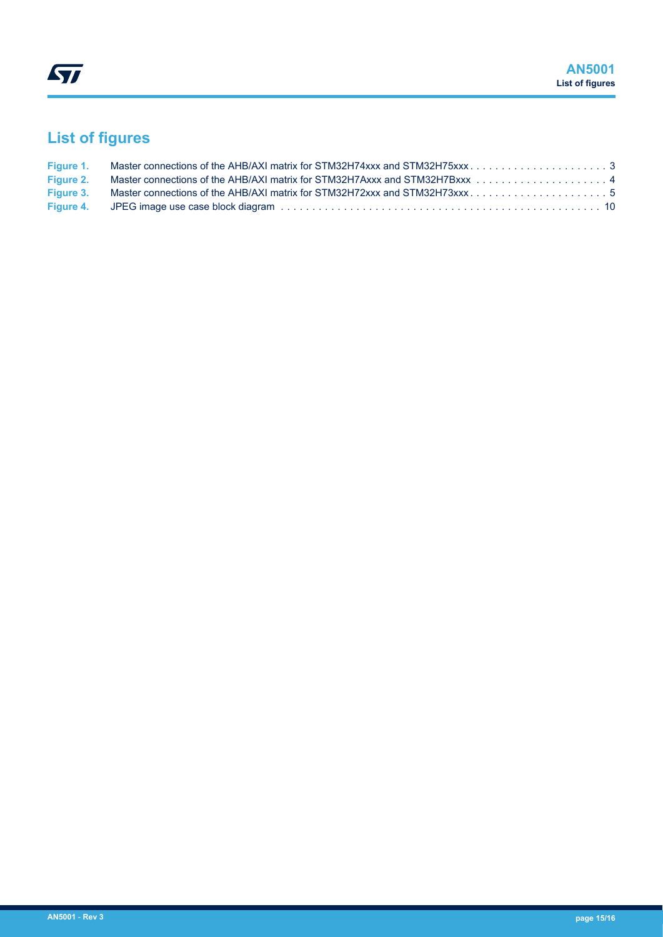# <span id="page-14-0"></span>**List of figures**

| Figure 3. Master connections of the AHB/AXI matrix for STM32H72xxx and STM32H73xxx5 |  |
|-------------------------------------------------------------------------------------|--|
|                                                                                     |  |
|                                                                                     |  |